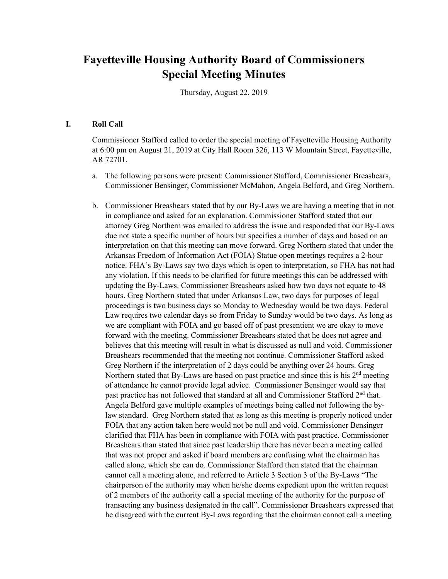# **Fayetteville Housing Authority Board of Commissioners Special Meeting Minutes**

Thursday, August 22, 2019

#### **I. Roll Call**

Commissioner Stafford called to order the special meeting of Fayetteville Housing Authority at 6:00 pm on August 21, 2019 at City Hall Room 326, 113 W Mountain Street, Fayetteville, AR 72701.

- a. The following persons were present: Commissioner Stafford, Commissioner Breashears, Commissioner Bensinger, Commissioner McMahon, Angela Belford, and Greg Northern.
- b. Commissioner Breashears stated that by our By-Laws we are having a meeting that in not in compliance and asked for an explanation. Commissioner Stafford stated that our attorney Greg Northern was emailed to address the issue and responded that our By-Laws due not state a specific number of hours but specifies a number of days and based on an interpretation on that this meeting can move forward. Greg Northern stated that under the Arkansas Freedom of Information Act (FOIA) Statue open meetings requires a 2-hour notice. FHA's By-Laws say two days which is open to interpretation, so FHA has not had any violation. If this needs to be clarified for future meetings this can be addressed with updating the By-Laws. Commissioner Breashears asked how two days not equate to 48 hours. Greg Northern stated that under Arkansas Law, two days for purposes of legal proceedings is two business days so Monday to Wednesday would be two days. Federal Law requires two calendar days so from Friday to Sunday would be two days. As long as we are compliant with FOIA and go based off of past presentient we are okay to move forward with the meeting. Commissioner Breashears stated that he does not agree and believes that this meeting will result in what is discussed as null and void. Commissioner Breashears recommended that the meeting not continue. Commissioner Stafford asked Greg Northern if the interpretation of 2 days could be anything over 24 hours. Greg Northern stated that By-Laws are based on past practice and since this is his  $2<sup>nd</sup>$  meeting of attendance he cannot provide legal advice. Commissioner Bensinger would say that past practice has not followed that standard at all and Commissioner Stafford 2<sup>nd</sup> that. Angela Belford gave multiple examples of meetings being called not following the bylaw standard. Greg Northern stated that as long as this meeting is properly noticed under FOIA that any action taken here would not be null and void. Commissioner Bensinger clarified that FHA has been in compliance with FOIA with past practice. Commissioner Breashears than stated that since past leadership there has never been a meeting called that was not proper and asked if board members are confusing what the chairman has called alone, which she can do. Commissioner Stafford then stated that the chairman cannot call a meeting alone, and referred to Article 3 Section 3 of the By-Laws "The chairperson of the authority may when he/she deems expedient upon the written request of 2 members of the authority call a special meeting of the authority for the purpose of transacting any business designated in the call". Commissioner Breashears expressed that he disagreed with the current By-Laws regarding that the chairman cannot call a meeting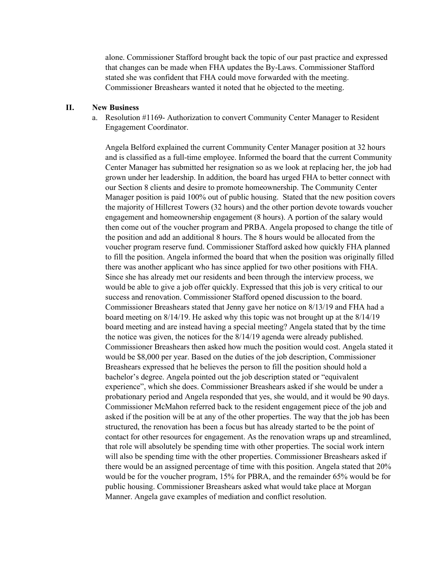alone. Commissioner Stafford brought back the topic of our past practice and expressed that changes can be made when FHA updates the By-Laws. Commissioner Stafford stated she was confident that FHA could move forwarded with the meeting. Commissioner Breashears wanted it noted that he objected to the meeting.

#### **II. New Business**

a. Resolution #1169- Authorization to convert Community Center Manager to Resident Engagement Coordinator.

Angela Belford explained the current Community Center Manager position at 32 hours and is classified as a full-time employee. Informed the board that the current Community Center Manager has submitted her resignation so as we look at replacing her, the job had grown under her leadership. In addition, the board has urged FHA to better connect with our Section 8 clients and desire to promote homeownership. The Community Center Manager position is paid 100% out of public housing. Stated that the new position covers the majority of Hillcrest Towers (32 hours) and the other portion devote towards voucher engagement and homeownership engagement (8 hours). A portion of the salary would then come out of the voucher program and PRBA. Angela proposed to change the title of the position and add an additional 8 hours. The 8 hours would be allocated from the voucher program reserve fund. Commissioner Stafford asked how quickly FHA planned to fill the position. Angela informed the board that when the position was originally filled there was another applicant who has since applied for two other positions with FHA. Since she has already met our residents and been through the interview process, we would be able to give a job offer quickly. Expressed that this job is very critical to our success and renovation. Commissioner Stafford opened discussion to the board. Commissioner Breashears stated that Jenny gave her notice on 8/13/19 and FHA had a board meeting on 8/14/19. He asked why this topic was not brought up at the 8/14/19 board meeting and are instead having a special meeting? Angela stated that by the time the notice was given, the notices for the 8/14/19 agenda were already published. Commissioner Breashears then asked how much the position would cost. Angela stated it would be \$8,000 per year. Based on the duties of the job description, Commissioner Breashears expressed that he believes the person to fill the position should hold a bachelor's degree. Angela pointed out the job description stated or "equivalent experience", which she does. Commissioner Breashears asked if she would be under a probationary period and Angela responded that yes, she would, and it would be 90 days. Commissioner McMahon referred back to the resident engagement piece of the job and asked if the position will be at any of the other properties. The way that the job has been structured, the renovation has been a focus but has already started to be the point of contact for other resources for engagement. As the renovation wraps up and streamlined, that role will absolutely be spending time with other properties. The social work intern will also be spending time with the other properties. Commissioner Breashears asked if there would be an assigned percentage of time with this position. Angela stated that 20% would be for the voucher program, 15% for PBRA, and the remainder 65% would be for public housing. Commissioner Breashears asked what would take place at Morgan Manner. Angela gave examples of mediation and conflict resolution.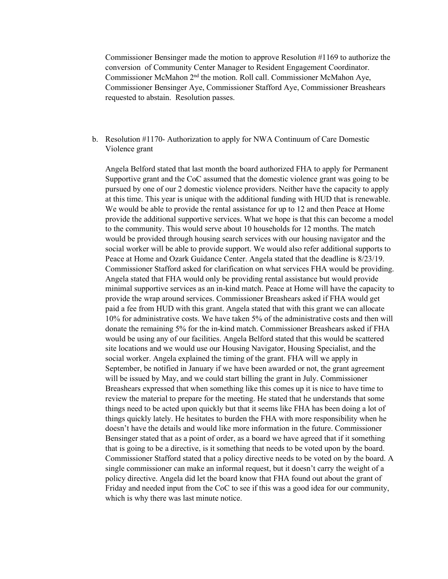Commissioner Bensinger made the motion to approve Resolution #1169 to authorize the conversion of Community Center Manager to Resident Engagement Coordinator. Commissioner McMahon 2nd the motion. Roll call. Commissioner McMahon Aye, Commissioner Bensinger Aye, Commissioner Stafford Aye, Commissioner Breashears requested to abstain. Resolution passes.

## b. Resolution #1170- Authorization to apply for NWA Continuum of Care Domestic Violence grant

Angela Belford stated that last month the board authorized FHA to apply for Permanent Supportive grant and the CoC assumed that the domestic violence grant was going to be pursued by one of our 2 domestic violence providers. Neither have the capacity to apply at this time. This year is unique with the additional funding with HUD that is renewable. We would be able to provide the rental assistance for up to 12 and then Peace at Home provide the additional supportive services. What we hope is that this can become a model to the community. This would serve about 10 households for 12 months. The match would be provided through housing search services with our housing navigator and the social worker will be able to provide support. We would also refer additional supports to Peace at Home and Ozark Guidance Center. Angela stated that the deadline is 8/23/19. Commissioner Stafford asked for clarification on what services FHA would be providing. Angela stated that FHA would only be providing rental assistance but would provide minimal supportive services as an in-kind match. Peace at Home will have the capacity to provide the wrap around services. Commissioner Breashears asked if FHA would get paid a fee from HUD with this grant. Angela stated that with this grant we can allocate 10% for administrative costs. We have taken 5% of the administrative costs and then will donate the remaining 5% for the in-kind match. Commissioner Breashears asked if FHA would be using any of our facilities. Angela Belford stated that this would be scattered site locations and we would use our Housing Navigator, Housing Specialist, and the social worker. Angela explained the timing of the grant. FHA will we apply in September, be notified in January if we have been awarded or not, the grant agreement will be issued by May, and we could start billing the grant in July. Commissioner Breashears expressed that when something like this comes up it is nice to have time to review the material to prepare for the meeting. He stated that he understands that some things need to be acted upon quickly but that it seems like FHA has been doing a lot of things quickly lately. He hesitates to burden the FHA with more responsibility when he doesn't have the details and would like more information in the future. Commissioner Bensinger stated that as a point of order, as a board we have agreed that if it something that is going to be a directive, is it something that needs to be voted upon by the board. Commissioner Stafford stated that a policy directive needs to be voted on by the board. A single commissioner can make an informal request, but it doesn't carry the weight of a policy directive. Angela did let the board know that FHA found out about the grant of Friday and needed input from the CoC to see if this was a good idea for our community, which is why there was last minute notice.